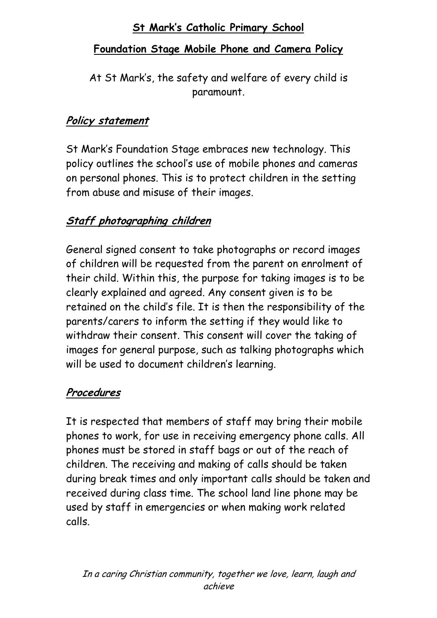# **St Mark's Catholic Primary School**

#### **Foundation Stage Mobile Phone and Camera Policy**

At St Mark's, the safety and welfare of every child is paramount.

#### **Policy statement**

St Mark's Foundation Stage embraces new technology. This policy outlines the school's use of mobile phones and cameras on personal phones. This is to protect children in the setting from abuse and misuse of their images.

### **Staff photographing children**

General signed consent to take photographs or record images of children will be requested from the parent on enrolment of their child. Within this, the purpose for taking images is to be clearly explained and agreed. Any consent given is to be retained on the child's file. It is then the responsibility of the parents/carers to inform the setting if they would like to withdraw their consent. This consent will cover the taking of images for general purpose, such as talking photographs which will be used to document children's learning.

### **Procedures**

It is respected that members of staff may bring their mobile phones to work, for use in receiving emergency phone calls. All phones must be stored in staff bags or out of the reach of children. The receiving and making of calls should be taken during break times and only important calls should be taken and received during class time. The school land line phone may be used by staff in emergencies or when making work related calls.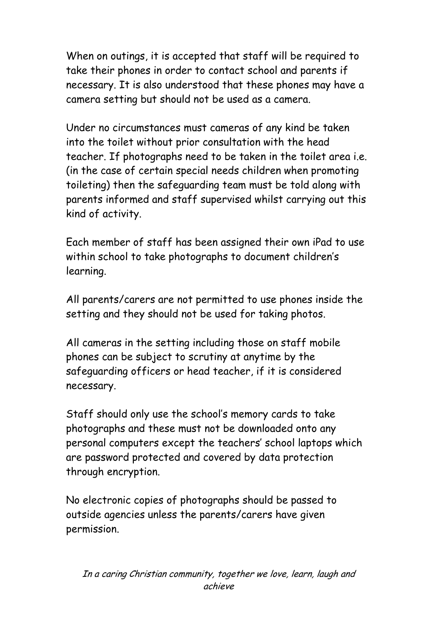When on outings, it is accepted that staff will be required to take their phones in order to contact school and parents if necessary. It is also understood that these phones may have a camera setting but should not be used as a camera.

Under no circumstances must cameras of any kind be taken into the toilet without prior consultation with the head teacher. If photographs need to be taken in the toilet area i.e. (in the case of certain special needs children when promoting toileting) then the safeguarding team must be told along with parents informed and staff supervised whilst carrying out this kind of activity.

Each member of staff has been assigned their own iPad to use within school to take photographs to document children's learning.

All parents/carers are not permitted to use phones inside the setting and they should not be used for taking photos.

All cameras in the setting including those on staff mobile phones can be subject to scrutiny at anytime by the safeguarding officers or head teacher, if it is considered necessary.

Staff should only use the school's memory cards to take photographs and these must not be downloaded onto any personal computers except the teachers' school laptops which are password protected and covered by data protection through encryption.

No electronic copies of photographs should be passed to outside agencies unless the parents/carers have given permission.